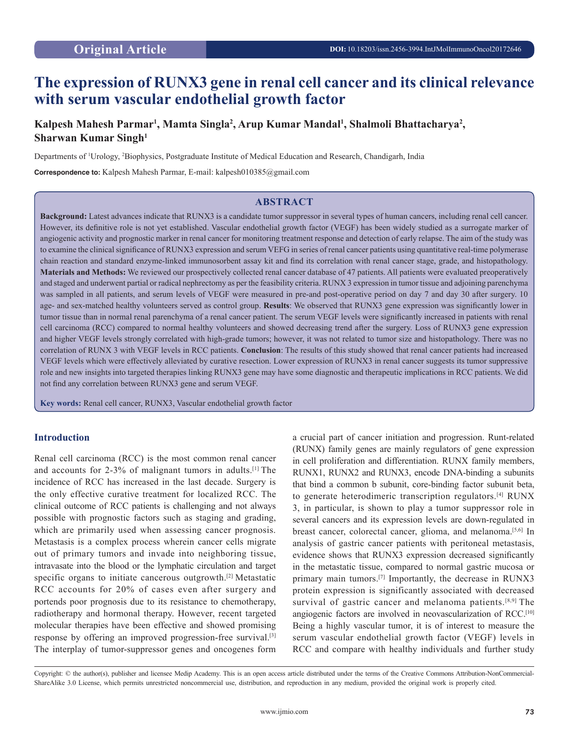# **The expression of RUNX3 gene in renal cell cancer and its clinical relevance with serum vascular endothelial growth factor**

## Kalpesh Mahesh Parmar<sup>1</sup>, Mamta Singla<sup>2</sup>, Arup Kumar Mandal<sup>1</sup>, Shalmoli Bhattacharya<sup>2</sup>, **Sharwan Kumar Singh1**

Departments of <sup>1</sup>Urology, <sup>2</sup>Biophysics, Postgraduate Institute of Medical Education and Research, Chandigarh, India

**Correspondence to:** Kalpesh Mahesh Parmar, E-mail: kalpesh010385@gmail.com

## **ABSTRACT**

**Background:** Latest advances indicate that RUNX3 is a candidate tumor suppressor in several types of human cancers, including renal cell cancer. However, its definitive role is not yet established. Vascular endothelial growth factor (VEGF) has been widely studied as a surrogate marker of angiogenic activity and prognostic marker in renal cancer for monitoring treatment response and detection of early relapse. The aim of the study was to examine the clinical significance of RUNX3 expression and serum VEFG in series of renal cancer patients using quantitative real-time polymerase chain reaction and standard enzyme-linked immunosorbent assay kit and find its correlation with renal cancer stage, grade, and histopathology. **Materials and Methods:** We reviewed our prospectively collected renal cancer database of 47 patients. All patients were evaluated preoperatively and staged and underwent partial or radical nephrectomy as per the feasibility criteria. RUNX 3 expression in tumor tissue and adjoining parenchyma was sampled in all patients, and serum levels of VEGF were measured in pre-and post-operative period on day 7 and day 30 after surgery. 10 age- and sex-matched healthy volunteers served as control group. **Results**: We observed that RUNX3 gene expression was significantly lower in tumor tissue than in normal renal parenchyma of a renal cancer patient. The serum VEGF levels were significantly increased in patients with renal cell carcinoma (RCC) compared to normal healthy volunteers and showed decreasing trend after the surgery. Loss of RUNX3 gene expression and higher VEGF levels strongly correlated with high-grade tumors; however, it was not related to tumor size and histopathology. There was no correlation of RUNX 3 with VEGF levels in RCC patients. **Conclusion**: The results of this study showed that renal cancer patients had increased VEGF levels which were effectively alleviated by curative resection. Lower expression of RUNX3 in renal cancer suggests its tumor suppressive role and new insights into targeted therapies linking RUNX3 gene may have some diagnostic and therapeutic implications in RCC patients. We did not find any correlation between RUNX3 gene and serum VEGF.

**Key words:** Renal cell cancer, RUNX3, Vascular endothelial growth factor

## **Introduction**

Renal cell carcinoma (RCC) is the most common renal cancer and accounts for 2-3% of malignant tumors in adults.<sup>[1]</sup> The incidence of RCC has increased in the last decade. Surgery is the only effective curative treatment for localized RCC. The clinical outcome of RCC patients is challenging and not always possible with prognostic factors such as staging and grading, which are primarily used when assessing cancer prognosis. Metastasis is a complex process wherein cancer cells migrate out of primary tumors and invade into neighboring tissue, intravasate into the blood or the lymphatic circulation and target specific organs to initiate cancerous outgrowth.<sup>[2]</sup> Metastatic RCC accounts for 20% of cases even after surgery and portends poor prognosis due to its resistance to chemotherapy, radiotherapy and hormonal therapy. However, recent targeted molecular therapies have been effective and showed promising response by offering an improved progression-free survival.<sup>[3]</sup> The interplay of tumor-suppressor genes and oncogenes form

a crucial part of cancer initiation and progression. Runt-related (RUNX) family genes are mainly regulators of gene expression in cell proliferation and differentiation. RUNX family members, RUNX1, RUNX2 and RUNX3, encode DNA-binding a subunits that bind a common b subunit, core-binding factor subunit beta, to generate heterodimeric transcription regulators.[4] RUNX 3, in particular, is shown to play a tumor suppressor role in several cancers and its expression levels are down-regulated in breast cancer, colorectal cancer, glioma, and melanoma.<sup>[5,6]</sup> In analysis of gastric cancer patients with peritoneal metastasis, evidence shows that RUNX3 expression decreased significantly in the metastatic tissue, compared to normal gastric mucosa or primary main tumors.[7] Importantly, the decrease in RUNX3 protein expression is significantly associated with decreased survival of gastric cancer and melanoma patients.<sup>[8,9]</sup> The angiogenic factors are involved in neovascularization of RCC.<sup>[10]</sup> Being a highly vascular tumor, it is of interest to measure the serum vascular endothelial growth factor (VEGF) levels in RCC and compare with healthy individuals and further study

Copyright: © the author(s), publisher and licensee Medip Academy. This is an open access article distributed under the terms of the Creative Commons Attribution-NonCommercial-ShareAlike 3.0 License, which permits unrestricted noncommercial use, distribution, and reproduction in any medium, provided the original work is properly cited.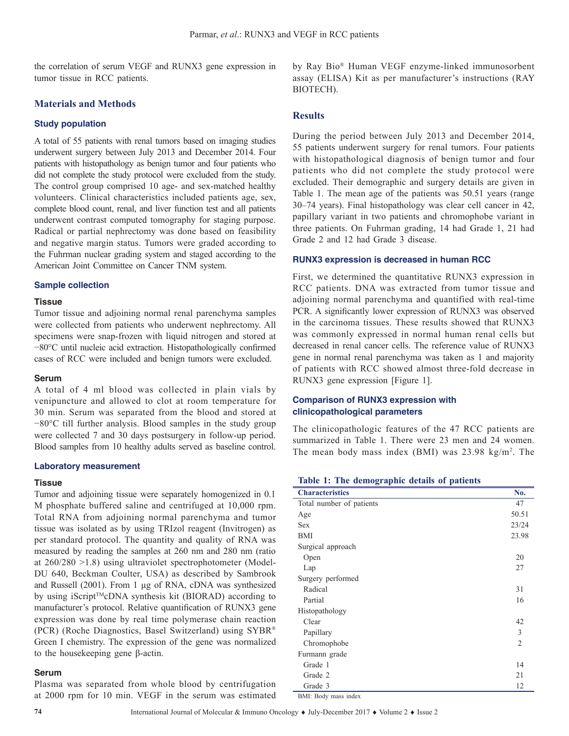the correlation of serum VEGF and RUNX3 gene expression in tumor tissue in RCC patients.

## **Materials and Methods**

#### **Study population**

A total of 55 patients with renal tumors based on imaging studies underwent surgery between July 2013 and December 2014. Four patients with histopathology as benign tumor and four patients who did not complete the study protocol were excluded from the study. The control group comprised 10 age- and sex-matched healthy volunteers. Clinical characteristics included patients age, sex, complete blood count, renal, and liver function test and all patients underwent contrast computed tomography for staging purpose. Radical or partial nephrectomy was done based on feasibility and negative margin status. Tumors were graded according to the Fuhrman nuclear grading system and staged according to the American Joint Committee on Cancer TNM system.

#### **Sample collection**

#### **Tissue**

Tumor tissue and adjoining normal renal parenchyma samples were collected from patients who underwent nephrectomy. All specimens were snap-frozen with liquid nitrogen and stored at −80°C until nucleic acid extraction. Histopathologically confirmed cases of RCC were included and benign tumors were excluded.

#### **Serum**

A total of 4 ml blood was collected in plain vials by venipuncture and allowed to clot at room temperature for 30 min. Serum was separated from the blood and stored at −80°C till further analysis. Blood samples in the study group were collected 7 and 30 days postsurgery in follow-up period. Blood samples from 10 healthy adults served as baseline control.

#### **Laboratory measurement**

#### **Tissue**

Tumor and adjoining tissue were separately homogenized in 0.1 M phosphate buffered saline and centrifuged at 10,000 rpm. Total RNA from adjoining normal parenchyma and tumor tissue was isolated as by using TRIzol reagent (Invitrogen) as per standard protocol. The quantity and quality of RNA was measured by reading the samples at 260 nm and 280 nm (ratio at 260/280 >1.8) using ultraviolet spectrophotometer (Model-DU 640, Beckman Coulter, USA) as described by Sambrook and Russell (2001). From 1 µg of RNA, cDNA was synthesized by using iScript<sup>™</sup>cDNA synthesis kit (BIORAD) according to manufacturer's protocol. Relative quantification of RUNX3 gene expression was done by real time polymerase chain reaction (PCR) (Roche Diagnostics, Basel Switzerland) using SYBR® Green I chemistry. The expression of the gene was normalized to the housekeeping gene β-actin.

#### **Serum**

Plasma was separated from whole blood by centrifugation at 2000 rpm for 10 min. VEGF in the serum was estimated by Ray Bio® Human VEGF enzyme-linked immunosorbent assay (ELISA) Kit as per manufacturer's instructions (RAY BIOTECH).

## **Results**

During the period between July 2013 and December 2014, 55 patients underwent surgery for renal tumors. Four patients with histopathological diagnosis of benign tumor and four patients who did not complete the study protocol were excluded. Their demographic and surgery details are given in Table 1. The mean age of the patients was 50.51 years (range 30–74 years). Final histopathology was clear cell cancer in 42, papillary variant in two patients and chromophobe variant in three patients. On Fuhrman grading, 14 had Grade 1, 21 had Grade 2 and 12 had Grade 3 disease.

#### **RUNX3 expression is decreased in human RCC**

First, we determined the quantitative RUNX3 expression in RCC patients. DNA was extracted from tumor tissue and adjoining normal parenchyma and quantified with real-time PCR. A significantly lower expression of RUNX3 was observed in the carcinoma tissues. These results showed that RUNX3 was commonly expressed in normal human renal cells but decreased in renal cancer cells. The reference value of RUNX3 gene in normal renal parenchyma was taken as 1 and majority of patients with RCC showed almost three-fold decrease in RUNX3 gene expression [Figure 1].

## **Comparison of RUNX3 expression with clinicopathological parameters**

The clinicopathologic features of the 47 RCC patients are summarized in Table 1. There were 23 men and 24 women. The mean body mass index  $(BMI)$  was 23.98 kg/m<sup>2</sup>. The

#### **Table 1: The demographic details of patients**

| <b>Characteristics</b>   | No.            |
|--------------------------|----------------|
| Total number of patients | 47             |
| Age                      | 50.51          |
| <b>Sex</b>               | 23/24          |
| <b>BMI</b>               | 23.98          |
| Surgical approach        |                |
| Open                     | 20             |
| Lap                      | 27             |
| Surgery performed        |                |
| Radical                  | 31             |
| Partial                  | 16             |
| Histopathology           |                |
| Clear                    | 42             |
| Papillary                | 3              |
| Chromophobe              | $\mathfrak{D}$ |
| Furmann grade            |                |
| Grade 1                  | 14             |
| Grade 2                  | 21             |
| Grade 3                  | 12             |

BMI: Body mass index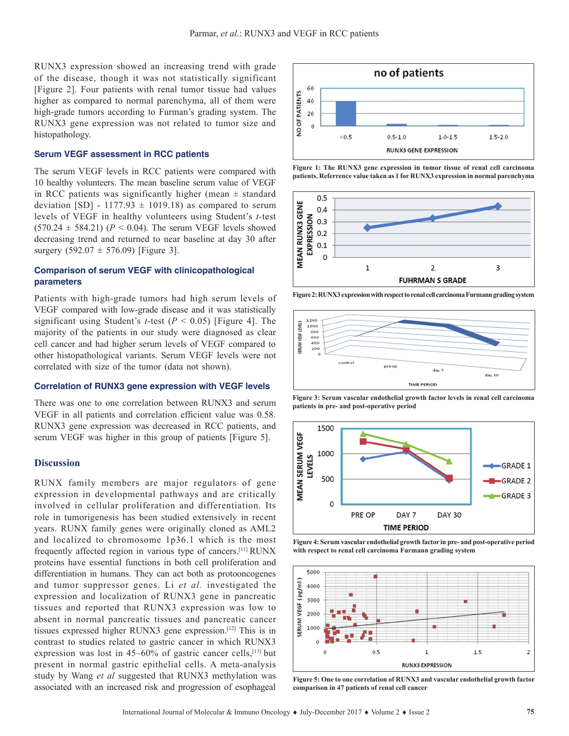RUNX3 expression showed an increasing trend with grade of the disease, though it was not statistically significant [Figure 2]. Four patients with renal tumor tissue had values higher as compared to normal parenchyma, all of them were high-grade tumors according to Furman's grading system. The RUNX3 gene expression was not related to tumor size and histopathology.

#### **Serum VEGF assessment in RCC patients**

The serum VEGF levels in RCC patients were compared with 10 healthy volunteers. The mean baseline serum value of VEGF in RCC patients was significantly higher (mean  $\pm$  standard deviation [SD] - 1177.93  $\pm$  1019.18) as compared to serum levels of VEGF in healthy volunteers using Student's *t-*test  $(570.24 \pm 584.21)$  ( $P < 0.04$ ). The serum VEGF levels showed decreasing trend and returned to near baseline at day 30 after surgery  $(592.07 \pm 576.09)$  [Figure 3].

## **Comparison of serum VEGF with clinicopathological parameters**

Patients with high-grade tumors had high serum levels of VEGF compared with low-grade disease and it was statistically significant using Student's *t*-test (*P* < 0.05) [Figure 4]. The majority of the patients in our study were diagnosed as clear cell cancer and had higher serum levels of VEGF compared to other histopathological variants. Serum VEGF levels were not correlated with size of the tumor (data not shown).

#### **Correlation of RUNX3 gene expression with VEGF levels**

There was one to one correlation between RUNX3 and serum VEGF in all patients and correlation efficient value was 0.58. RUNX3 gene expression was decreased in RCC patients, and serum VEGF was higher in this group of patients [Figure 5].

#### **Discussion**

RUNX family members are major regulators of gene expression in developmental pathways and are critically involved in cellular proliferation and differentiation. Its role in tumorigenesis has been studied extensively in recent years. RUNX family genes were originally cloned as AML2 and localized to chromosome 1p36.1 which is the most frequently affected region in various type of cancers.[11] RUNX proteins have essential functions in both cell proliferation and differentiation in humans. They can act both as protooncogenes and tumor suppressor genes. Li *et al.* investigated the expression and localization of RUNX3 gene in pancreatic tissues and reported that RUNX3 expression was low to absent in normal pancreatic tissues and pancreatic cancer tissues expressed higher RUNX3 gene expression.[12] This is in contrast to studies related to gastric cancer in which RUNX3 expression was lost in  $45-60\%$  of gastric cancer cells,<sup>[13]</sup> but present in normal gastric epithelial cells. A meta-analysis study by Wang *et al* suggested that RUNX3 methylation was associated with an increased risk and progression of esophageal



**Figure 1: The RUNX3 gene expression in tumor tissue of renal cell carcinoma patients. Referrence value taken as 1 for RUNX3 expression in normal parenchyma**



**Figure2: RUNX3 expression with respect to renal cell carcinoma Furmann grading system**



**Figure 3: Serum vascular endothelial growth factor levels in renal cell carcinoma patients in pre- and post-operative period**



**Figure 4: Serum vascular endothelial growth factor in pre- and post-operative period with respect to renal cell carcinoma Furmann grading system**



**Figure 5: One to one correlation of RUNX3 and vascular endothelial growth factor comparison in 47 patients of renal cell cancer**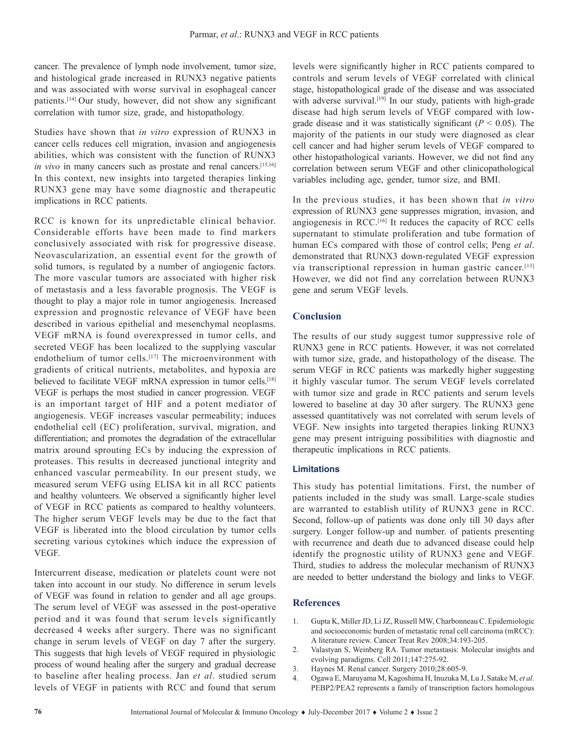cancer. The prevalence of lymph node involvement, tumor size, and histological grade increased in RUNX3 negative patients and was associated with worse survival in esophageal cancer patients.[14] Our study, however, did not show any significant correlation with tumor size, grade, and histopathology.

Studies have shown that *in vitro* expression of RUNX3 in cancer cells reduces cell migration, invasion and angiogenesis abilities, which was consistent with the function of RUNX3 *in vivo* in many cancers such as prostate and renal cancers.<sup>[15,16]</sup> In this context, new insights into targeted therapies linking RUNX3 gene may have some diagnostic and therapeutic implications in RCC patients.

RCC is known for its unpredictable clinical behavior. Considerable efforts have been made to find markers conclusively associated with risk for progressive disease. Neovascularization, an essential event for the growth of solid tumors, is regulated by a number of angiogenic factors. The more vascular tumors are associated with higher risk of metastasis and a less favorable prognosis. The VEGF is thought to play a major role in tumor angiogenesis. Increased expression and prognostic relevance of VEGF have been described in various epithelial and mesenchymal neoplasms. VEGF mRNA is found overexpressed in tumor cells, and secreted VEGF has been localized to the supplying vascular endothelium of tumor cells.<sup>[17]</sup> The microenvironment with gradients of critical nutrients, metabolites, and hypoxia are believed to facilitate VEGF mRNA expression in tumor cells.<sup>[18]</sup> VEGF is perhaps the most studied in cancer progression. VEGF is an important target of HIF and a potent mediator of angiogenesis. VEGF increases vascular permeability; induces endothelial cell (EC) proliferation, survival, migration, and differentiation; and promotes the degradation of the extracellular matrix around sprouting ECs by inducing the expression of proteases. This results in decreased junctional integrity and enhanced vascular permeability. In our present study, we measured serum VEFG using ELISA kit in all RCC patients and healthy volunteers. We observed a significantly higher level of VEGF in RCC patients as compared to healthy volunteers. The higher serum VEGF levels may be due to the fact that VEGF is liberated into the blood circulation by tumor cells secreting various cytokines which induce the expression of VEGF.

Intercurrent disease, medication or platelets count were not taken into account in our study. No difference in serum levels of VEGF was found in relation to gender and all age groups. The serum level of VEGF was assessed in the post-operative period and it was found that serum levels significantly decreased 4 weeks after surgery. There was no significant change in serum levels of VEGF on day 7 after the surgery. This suggests that high levels of VEGF required in physiologic process of wound healing after the surgery and gradual decrease to baseline after healing process. Jan *et al*. studied serum levels of VEGF in patients with RCC and found that serum

levels were significantly higher in RCC patients compared to controls and serum levels of VEGF correlated with clinical stage, histopathological grade of the disease and was associated with adverse survival.<sup>[19]</sup> In our study, patients with high-grade disease had high serum levels of VEGF compared with lowgrade disease and it was statistically significant  $(P < 0.05)$ . The majority of the patients in our study were diagnosed as clear cell cancer and had higher serum levels of VEGF compared to other histopathological variants. However, we did not find any correlation between serum VEGF and other clinicopathological variables including age, gender, tumor size, and BMI.

In the previous studies, it has been shown that *in vitro* expression of RUNX3 gene suppresses migration, invasion, and angiogenesis in RCC.[16] It reduces the capacity of RCC cells supernatant to stimulate proliferation and tube formation of human ECs compared with those of control cells; Peng *et al*. demonstrated that RUNX3 down-regulated VEGF expression via transcriptional repression in human gastric cancer.[13] However, we did not find any correlation between RUNX3 gene and serum VEGF levels.

## **Conclusion**

The results of our study suggest tumor suppressive role of RUNX3 gene in RCC patients. However, it was not correlated with tumor size, grade, and histopathology of the disease. The serum VEGF in RCC patients was markedly higher suggesting it highly vascular tumor. The serum VEGF levels correlated with tumor size and grade in RCC patients and serum levels lowered to baseline at day 30 after surgery. The RUNX3 gene assessed quantitatively was not correlated with serum levels of VEGF. New insights into targeted therapies linking RUNX3 gene may present intriguing possibilities with diagnostic and therapeutic implications in RCC patients.

## **Limitations**

This study has potential limitations. First, the number of patients included in the study was small. Large-scale studies are warranted to establish utility of RUNX3 gene in RCC. Second, follow-up of patients was done only till 30 days after surgery. Longer follow-up and number. of patients presenting with recurrence and death due to advanced disease could help identify the prognostic utility of RUNX3 gene and VEGF. Third, studies to address the molecular mechanism of RUNX3 are needed to better understand the biology and links to VEGF.

#### **References**

- 1. Gupta K, Miller JD, Li JZ, Russell MW, Charbonneau C. Epidemiologic and socioeconomic burden of metastatic renal cell carcinoma (mRCC): A literature review. Cancer Treat Rev 2008;34:193-205.
- 2. Valastyan S, Weinberg RA. Tumor metastasis: Molecular insights and evolving paradigms. Cell 2011;147:275-92.
- 3. Haynes M. Renal cancer. Surgery 2010;28:605-9.
- 4. Ogawa E, Maruyama M, Kagoshima H, Inuzuka M, Lu J, Satake M, *et al.* PEBP2/PEA2 represents a family of transcription factors homologous